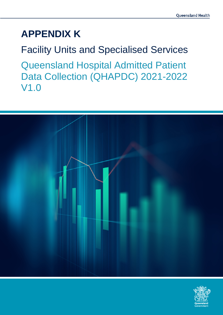# **APPENDIX K**

Facility Units and Specialised Services Queensland Hospital Admitted Patient Data Collection (QHAPDC) 2021-2022 V1.0



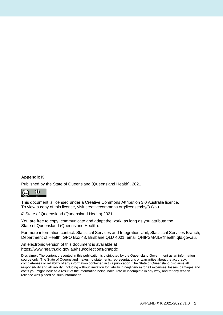#### **Appendix K**

Published by the State of Queensland (Queensland Health), 2021



This document is licensed under a Creative Commons Attribution 3.0 Australia licence. To view a copy of this licence, visit creativecommons.org/licenses/by/3.0/au

© State of Queensland (Queensland Health) 2021

You are free to copy, communicate and adapt the work, as long as you attribute the State of Queensland (Queensland Health).

For more information contact: Statistical Services and Integration Unit, Statistical Services Branch, Department of Health, GPO Box 48, Brisbane QLD 4001, email QHIPSMAIL@health.qld.gov.au.

An electronic version of this document is available at https://www.health.qld.gov.au/hsu/collections/qhapdc

Disclaimer: The content presented in this publication is distributed by the Queensland Government as an information source only. The State of Queensland makes no statements, representations or warranties about the accuracy, completeness or reliability of any information contained in this publication. The State of Queensland disclaims all responsibility and all liability (including without limitation for liability in negligence) for all expenses, losses, damages and costs you might incur as a result of the information being inaccurate or incomplete in any way, and for any reason reliance was placed on such information.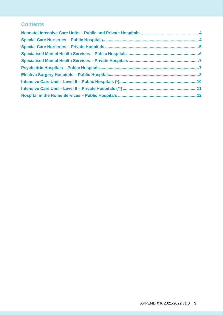#### **Contents**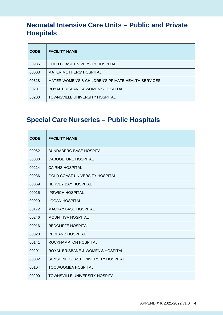#### <span id="page-3-0"></span>**Neonatal Intensive Care Units – Public and Private Hospitals**

| <b>CODE</b> | <b>FACILITY NAME</b>                                          |
|-------------|---------------------------------------------------------------|
| 00936       | <b>GOLD COAST UNIVERSITY HOSPITAL</b>                         |
| 00003       | <b>MATER MOTHERS' HOSPITAL</b>                                |
| 00318       | <b>MATER WOMEN'S &amp; CHILDREN'S PRIVATE HEALTH SERVICES</b> |
| 00201       | ROYAL BRISBANE & WOMEN'S HOSPITAL                             |
| 00200       | TOWNSVILLE UNIVERSITY HOSPITAL                                |

### <span id="page-3-1"></span>**Special Care Nurseries – Public Hospitals**

L

| <b>CODE</b> | <b>FACILITY NAME</b>                  |
|-------------|---------------------------------------|
| 00062       | <b>BUNDABERG BASE HOSPITAL</b>        |
| 00030       | <b>CABOOLTURE HOSPITAL</b>            |
| 00214       | <b>CAIRNS HOSPITAL</b>                |
| 00936       | <b>GOLD COAST UNIVERSITY HOSPITAL</b> |
| 00069       | <b>HERVEY BAY HOSPITAL</b>            |
| 00015       | <b>IPSWICH HOSPITAL</b>               |
| 00029       | <b>LOGAN HOSPITAL</b>                 |
| 00172       | <b>MACKAY BASE HOSPITAL</b>           |
| 00246       | <b>MOUNT ISA HOSPITAL</b>             |
| 00016       | <b>REDCLIFFE HOSPITAL</b>             |
| 00028       | <b>REDLAND HOSPITAL</b>               |
| 00141       | ROCKHAMPTON HOSPITAL                  |
| 00201       | ROYAL BRISBANE & WOMEN'S HOSPITAL     |
| 00032       | SUNSHINE COAST UNIVERSITY HOSPITAL    |
| 00104       | <b>TOOWOOMBA HOSPITAL</b>             |
| 00200       | <b>TOWNSVILLE UNIVERSITY HOSPITAL</b> |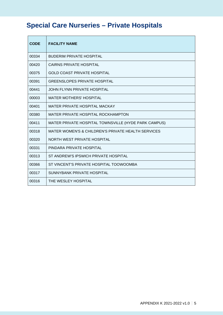# <span id="page-4-0"></span>**Special Care Nurseries – Private Hospitals**

| <b>CODE</b> | <b>FACILITY NAME</b>                                 |
|-------------|------------------------------------------------------|
| 00334       | <b>BUDERIM PRIVATE HOSPITAL</b>                      |
| 00420       | CAIRNS PRIVATE HOSPITAL                              |
| 00375       | <b>GOLD COAST PRIVATE HOSPITAL</b>                   |
| 00391       | <b>GREENSLOPES PRIVATE HOSPITAL</b>                  |
| 00441       | JOHN FLYNN PRIVATE HOSPITAL                          |
| 00003       | <b>MATER MOTHERS' HOSPITAL</b>                       |
| 00401       | MATER PRIVATE HOSPITAL MACKAY                        |
| 00380       | MATER PRIVATE HOSPITAL ROCKHAMPTON                   |
| 00411       | MATER PRIVATE HOSPITAL TOWNSVILLE (HYDE PARK CAMPUS) |
| 00318       | MATER WOMEN'S & CHILDREN'S PRIVATE HEALTH SERVICES   |
| 00320       | NORTH WEST PRIVATE HOSPITAL                          |
| 00331       | PINDARA PRIVATE HOSPITAL                             |
| 00313       | ST ANDREW'S IPSWICH PRIVATE HOSPITAL                 |
| 00366       | ST VINCENT'S PRIVATE HOSPITAL TOOWOOMBA              |
| 00317       | SUNNYBANK PRIVATE HOSPITAL                           |
| 00316       | THE WESLEY HOSPITAL                                  |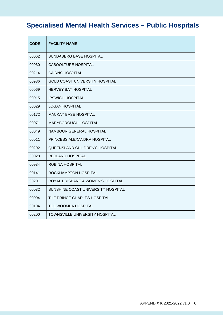## <span id="page-5-0"></span>**Specialised Mental Health Services – Public Hospitals**

| <b>CODE</b> | <b>FACILITY NAME</b>                  |
|-------------|---------------------------------------|
| 00062       | <b>BUNDABERG BASE HOSPITAL</b>        |
| 00030       | <b>CABOOLTURE HOSPITAL</b>            |
| 00214       | <b>CAIRNS HOSPITAL</b>                |
| 00936       | <b>GOLD COAST UNIVERSITY HOSPITAL</b> |
| 00069       | <b>HERVEY BAY HOSPITAL</b>            |
| 00015       | <b>IPSWICH HOSPITAL</b>               |
| 00029       | <b>LOGAN HOSPITAL</b>                 |
| 00172       | <b>MACKAY BASE HOSPITAL</b>           |
| 00071       | MARYBOROUGH HOSPITAL                  |
| 00049       | NAMBOUR GENERAL HOSPITAL              |
| 00011       | PRINCESS ALEXANDRA HOSPITAL           |
| 00202       | QUEENSLAND CHILDREN'S HOSPITAL        |
| 00028       | REDLAND HOSPITAL                      |
| 00934       | ROBINA HOSPITAL                       |
| 00141       | ROCKHAMPTON HOSPITAL                  |
| 00201       | ROYAL BRISBANE & WOMEN'S HOSPITAL     |
| 00032       | SUNSHINE COAST UNIVERSITY HOSPITAL    |
| 00004       | THE PRINCE CHARLES HOSPITAL           |
| 00104       | <b>TOOWOOMBA HOSPITAL</b>             |
| 00200       | TOWNSVILLE UNIVERSITY HOSPITAL        |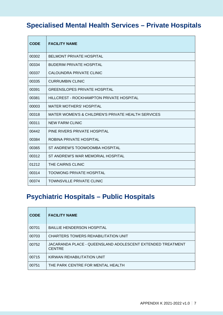### <span id="page-6-0"></span>**Specialised Mental Health Services – Private Hospitals**

| <b>CODE</b> | <b>FACILITY NAME</b>                               |
|-------------|----------------------------------------------------|
| 00302       | <b>BELMONT PRIVATE HOSPITAL</b>                    |
| 00334       | <b>BUDERIM PRIVATE HOSPITAL</b>                    |
| 00337       | CALOUNDRA PRIVATE CLINIC                           |
| 00335       | CURRUMBIN CLINIC                                   |
| 00391       | <b>GREENSLOPES PRIVATE HOSPITAL</b>                |
| 00381       | HILLCREST - ROCKHAMPTON PRIVATE HOSPITAL           |
| 00003       | <b>MATER MOTHERS' HOSPITAL</b>                     |
| 00318       | MATER WOMEN'S & CHILDREN'S PRIVATE HEALTH SERVICES |
| 00311       | <b>NEW FARM CLINIC</b>                             |
| 00442       | PINE RIVERS PRIVATE HOSPITAL                       |
| 00384       | ROBINA PRIVATE HOSPITAL                            |
| 00365       | ST ANDREW'S TOOWOOMBA HOSPITAL                     |
| 00312       | ST ANDREW'S WAR MEMORIAL HOSPITAL                  |
| 01212       | THE CAIRNS CLINIC                                  |
| 00314       | <b>TOOWONG PRIVATE HOSPITAL</b>                    |
| 00374       | TOWNSVILLE PRIVATE CLINIC                          |

#### <span id="page-6-1"></span>**Psychiatric Hospitals – Public Hospitals**

| <b>CODE</b> | <b>FACILITY NAME</b>                                                        |
|-------------|-----------------------------------------------------------------------------|
| 00701       | <b>BAILLIE HENDERSON HOSPITAL</b>                                           |
| 00703       | CHARTERS TOWERS REHABILITATION UNIT                                         |
| 00752       | JACARANDA PLACE - QUEENSLAND ADOLESCENT EXTENDED TREATMENT<br><b>CENTRE</b> |
| 00715       | KIRWAN REHABILITATION UNIT                                                  |
| 00751       | THE PARK CENTRE FOR MENTAL HEALTH                                           |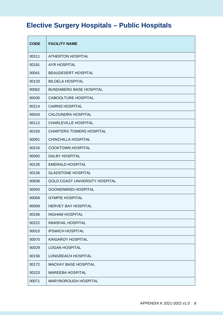# <span id="page-7-0"></span>**Elective Surgery Hospitals – Public Hospitals**

| <b>CODE</b> | <b>FACILITY NAME</b>                  |
|-------------|---------------------------------------|
| 00211       | <b>ATHERTON HOSPITAL</b>              |
| 00191       | <b>AYR HOSPITAL</b>                   |
| 00041       | <b>BEAUDESERT HOSPITAL</b>            |
| 00133       | <b>BILOELA HOSPITAL</b>               |
| 00062       | <b>BUNDABERG BASE HOSPITAL</b>        |
| 00030       | <b>CABOOLTURE HOSPITAL</b>            |
| 00214       | <b>CAIRNS HOSPITAL</b>                |
| 00043       | <b>CALOUNDRA HOSPITAL</b>             |
| 00112       | <b>CHARLEVILLE HOSPITAL</b>           |
| 00193       | <b>CHARTERS TOWERS HOSPITAL</b>       |
| 00091       | <b>CHINCHILLA HOSPITAL</b>            |
| 00216       | <b>COOKTOWN HOSPITAL</b>              |
| 00092       | DALBY HOSPITAL                        |
| 00135       | <b>EMERALD HOSPITAL</b>               |
| 00136       | <b>GLADSTONE HOSPITAL</b>             |
| 00936       | <b>GOLD COAST UNIVERSITY HOSPITAL</b> |
| 00093       | <b>GOONDIWINDI HOSPITAL</b>           |
| 00068       | <b>GYMPIE HOSPITAL</b>                |
| 00069       | <b>HERVEY BAY HOSPITAL</b>            |
| 00196       | <b>INGHAM HOSPITAL</b>                |
| 00222       | <b>INNISFAIL HOSPITAL</b>             |
| 00015       | <b>IPSWICH HOSPITAL</b>               |
| 00070       | KINGAROY HOSPITAL                     |
| 00029       | <b>LOGAN HOSPITAL</b>                 |
| 00156       | LONGREACH HOSPITAL                    |
| 00172       | <b>MACKAY BASE HOSPITAL</b>           |
| 00223       | <b>MAREEBA HOSPITAL</b>               |
| 00071       | MARYBOROUGH HOSPITAL                  |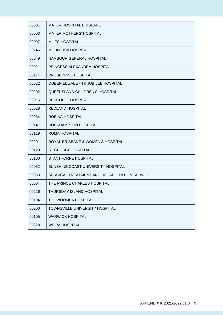| 00001 | <b>MATER HOSPITAL BRISBANE</b>                |
|-------|-----------------------------------------------|
| 00003 | <b>MATER MOTHERS' HOSPITAL</b>                |
| 00097 | <b>MILES HOSPITAL</b>                         |
| 00246 | <b>MOUNT ISA HOSPITAL</b>                     |
| 00049 | NAMBOUR GENERAL HOSPITAL                      |
| 00011 | PRINCESS ALEXANDRA HOSPITAL                   |
| 00174 | PROSERPINE HOSPITAL                           |
| 00022 | QUEEN ELIZABETH II JUBILEE HOSPITAL           |
| 00202 | <b>QUEENSLAND CHILDREN'S HOSPITAL</b>         |
| 00016 | <b>REDCLIFFE HOSPITAL</b>                     |
| 00028 | <b>REDLAND HOSPITAL</b>                       |
| 00934 | <b>ROBINA HOSPITAL</b>                        |
| 00141 | ROCKHAMPTON HOSPITAL                          |
| 00119 | <b>ROMA HOSPITAL</b>                          |
| 00201 | ROYAL BRISBANE & WOMEN'S HOSPITAL             |
| 00120 | <b>ST GEORGE HOSPITAL</b>                     |
| 00100 | STANTHORPE HOSPITAL                           |
| 00032 | SUNSHINE COAST UNIVERSITY HOSPITAL            |
| 00033 | SURGICAL TREATMENT AND REHABILITATION SERVICE |
| 00004 | THE PRINCE CHARLES HOSPITAL                   |
| 00226 | THURSDAY ISLAND HOSPITAL                      |
| 00104 | <b>TOOWOOMBA HOSPITAL</b>                     |
| 00200 | <b>TOWNSVILLE UNIVERSITY HOSPITAL</b>         |
| 00105 | <b>WARWICK HOSPITAL</b>                       |
| 00228 | <b>WEIPA HOSPITAL</b>                         |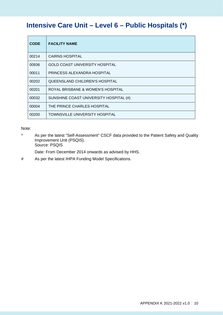#### <span id="page-9-0"></span>**Intensive Care Unit – Level 6 – Public Hospitals (\*)**

| <b>CODE</b> | <b>FACILITY NAME</b>                   |
|-------------|----------------------------------------|
| 00214       | <b>CAIRNS HOSPITAL</b>                 |
| 00936       | <b>GOLD COAST UNIVERSITY HOSPITAL</b>  |
| 00011       | PRINCESS ALEXANDRA HOSPITAL            |
| 00202       | QUEENSLAND CHILDREN'S HOSPITAL         |
| 00201       | ROYAL BRISBANE & WOMEN'S HOSPITAL      |
| 00032       | SUNSHINE COAST UNIVERSITY HOSPITAL (#) |
| 00004       | THE PRINCE CHARLES HOSPITAL            |
| 00200       | <b>TOWNSVILLE UNIVERSITY HOSPITAL</b>  |

#### Note:

\* As per the latest "Self-Assessment" CSCF data provided to the Patient Safety and Quality Improvement Unit (PSQIS). Source: PSQIS

Date: From December 2014 onwards as advised by HHS.

# As per the latest IHPA Funding Model Specifications.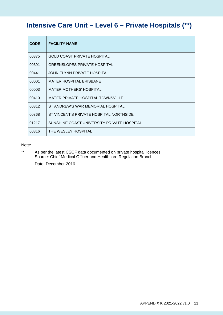#### <span id="page-10-0"></span>**Intensive Care Unit – Level 6 – Private Hospitals (\*\*)**

| <b>CODE</b> | <b>FACILITY NAME</b>                       |
|-------------|--------------------------------------------|
| 00375       | <b>GOLD COAST PRIVATE HOSPITAL</b>         |
| 00391       | <b>GREENSLOPES PRIVATE HOSPITAL</b>        |
| 00441       | JOHN FLYNN PRIVATE HOSPITAL                |
| 00001       | <b>MATER HOSPITAL BRISBANE</b>             |
| 00003       | <b>MATER MOTHERS' HOSPITAL</b>             |
| 00410       | MATER PRIVATE HOSPITAL TOWNSVILLE          |
| 00312       | ST ANDREW'S WAR MEMORIAL HOSPITAL          |
| 00368       | ST VINCENT'S PRIVATE HOSPITAL NORTHSIDE    |
| 01217       | SUNSHINE COAST UNIVERSITY PRIVATE HOSPITAL |
| 00316       | THE WESLEY HOSPITAL                        |

Note:

\*\* As per the latest CSCF data documented on private hospital licences. Source: Chief Medical Officer and Healthcare Regulation Branch

Date: December 2016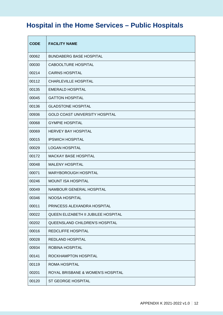## <span id="page-11-0"></span>**Hospital in the Home Services – Public Hospitals**

| <b>CODE</b> | <b>FACILITY NAME</b>                  |
|-------------|---------------------------------------|
| 00062       | <b>BUNDABERG BASE HOSPITAL</b>        |
| 00030       | <b>CABOOLTURE HOSPITAL</b>            |
| 00214       | <b>CAIRNS HOSPITAL</b>                |
| 00112       | <b>CHARLEVILLE HOSPITAL</b>           |
| 00135       | <b>EMERALD HOSPITAL</b>               |
| 00045       | <b>GATTON HOSPITAL</b>                |
| 00136       | <b>GLADSTONE HOSPITAL</b>             |
| 00936       | <b>GOLD COAST UNIVERSITY HOSPITAL</b> |
| 00068       | <b>GYMPIE HOSPITAL</b>                |
| 00069       | <b>HERVEY BAY HOSPITAL</b>            |
| 00015       | <b>IPSWICH HOSPITAL</b>               |
| 00029       | <b>LOGAN HOSPITAL</b>                 |
| 00172       | <b>MACKAY BASE HOSPITAL</b>           |
| 00048       | <b>MALENY HOSPITAL</b>                |
| 00071       | MARYBOROUGH HOSPITAL                  |
| 00246       | <b>MOUNT ISA HOSPITAL</b>             |
| 00049       | NAMBOUR GENERAL HOSPITAL              |
| 00346       | NOOSA HOSPITAL                        |
| 00011       | PRINCESS ALEXANDRA HOSPITAL           |
| 00022       | QUEEN ELIZABETH II JUBILEE HOSPITAL   |
| 00202       | QUEENSLAND CHILDREN'S HOSPITAL        |
| 00016       | REDCLIFFE HOSPITAL                    |
| 00028       | REDLAND HOSPITAL                      |
| 00934       | <b>ROBINA HOSPITAL</b>                |
| 00141       | ROCKHAMPTON HOSPITAL                  |
| 00119       | <b>ROMA HOSPITAL</b>                  |
| 00201       | ROYAL BRISBANE & WOMEN'S HOSPITAL     |
| 00120       | <b>ST GEORGE HOSPITAL</b>             |